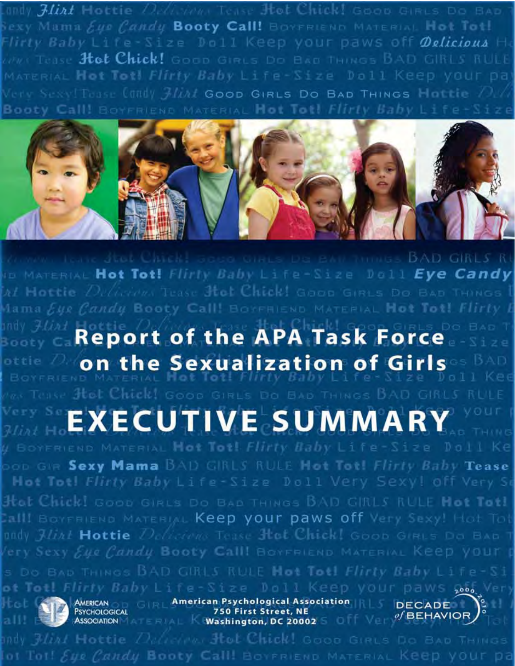*Hint* Hottie *Deleven* Tease Hot Chick! **GOOD GIRLS DO BAD** na Eus Candu Booty Call! BOYFRIE Size Doll Keep vou Delicious a w Gonn Giers Do Ban  $Babv$  if  $Fp -$ **GOOD GIRLS DO BAD** THINGS Hot Tot!



Hot Tot! Flirty Baby Life-Size Doll Eve Candv Delivery Trase Hot Chick! Good GIRLS D Candy Booty Call! BOYFRIEND MATERIAL Hot To Æа eport of the APA Task Force Hottie  $\mathcal{D}_c$ on the Sexualization of Girls ot Hot Chick! GOOD GIRLS DO BAD THINGS BAD **EXECUTIVE SUMMARY** 

**Sexy Mama BAD GIRLS RI** Ho ptl Flirty Baby **BAD THINGS BAD** MATERIAL Keep your paws off Delicious Tesse Hot Chick ye Candy **Booty Call! HOYFRIEND** 



**AMERICAN PSYCHOLOGICAL** ASSOCIATION

 $Babv$ 

American Psychological Association<br>750 First Street, NE<br>Washington, DC 20002 **DECADE** of BEHAVIOR

 $2000$ 

Doll Keep

Hot

**Design Hot Chick!** OI TOI! EUR Candy Booty Call! BOYFRIEND MATERIAL KEED

Size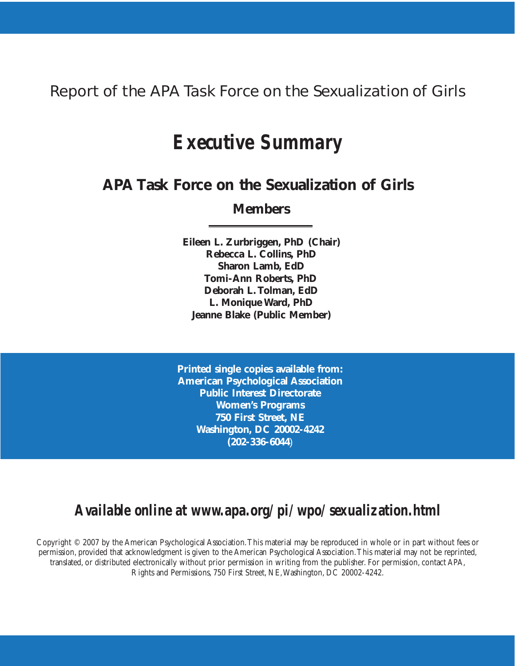Report of the APA Task Force on the Sexualization of Girls

# *Executive Summary*

# **APA Task Force on the Sexualization of Girls**

## **Members**

**Eileen L. Zurbriggen, PhD (Chair) Rebecca L. Collins, PhD Sharon Lamb, EdD Tomi-Ann Roberts, PhD Deborah L.Tolman, EdD L. Monique Ward, PhD Jeanne Blake (Public Member)**

**Printed single copies available from: American Psychological Association Public Interest Directorate Women's Programs 750 First Street, NE Washington, DC 20002-4242 (202-336-6044**)

# *Available online at www.apa.org/pi/wpo/sexualization.html*

Copyright © 2007 by the American Psychological Association.This material may be reproduced in whole or in part without fees or permission, provided that acknowledgment is given to the American Psychological Association.This material may not be reprinted, translated, or distributed electronically without prior permission in writing from the publisher. For permission, contact APA, Rights and Permissions, 750 First Street, NE,Washington, DC 20002-4242.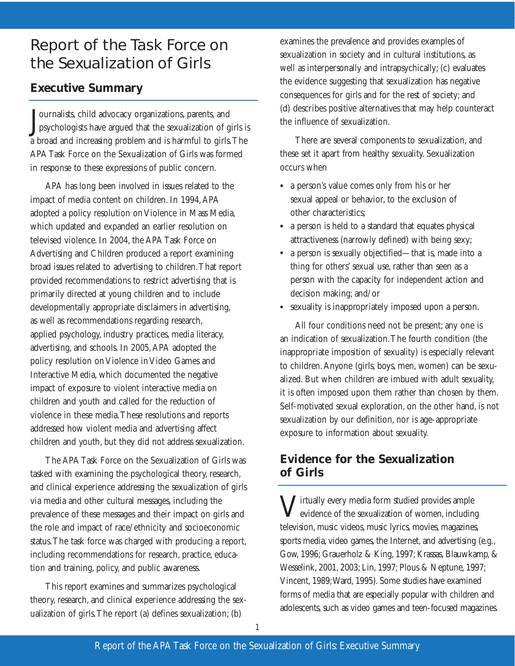# Report of the Task Force on the Sexualization of Girls

# **Executive Summary**

Journalists, child advocacy organizations, parents, and<br>psychologists have argued that the sexualization of girls is Tournalists, child advocacy organizations, parents, and a broad and increasing problem and is harmful to girls.The APA Task Force on the Sexualization of Girls was formed in response to these expressions of public concern.

APA has long been involved in issues related to the impact of media content on children. In 1994,APA adopted a policy resolution on Violence in Mass Media, which updated and expanded an earlier resolution on televised violence. In 2004, the APA Task Force on Advertising and Children produced a report examining broad issues related to advertising to children.That report provided recommendations to restrict advertising that is primarily directed at young children and to include developmentally appropriate disclaimers in advertising, as well as recommendations regarding research, applied psychology, industry practices, media literacy, advertising, and schools. In 2005,APA adopted the policy resolution on Violence in Video Games and Interactive Media, which documented the negative impact of exposure to violent interactive media on children and youth and called for the reduction of violence in these media.These resolutions and reports addressed how violent media and advertising affect children and youth, but they did not address sexualization.

The APA Task Force on the Sexualization of Girls was tasked with examining the psychological theory, research, and clinical experience addressing the sexualization of girls via media and other cultural messages, including the prevalence of these messages and their impact on girls and the role and impact of race/ethnicity and socioeconomic status.The task force was charged with producing a report, including recommendations for research, practice, education and training, policy, and public awareness.

This report examines and summarizes psychological theory, research, and clinical experience addressing the sexualization of girls.The report (a) defines sexualization; (b)

examines the prevalence and provides examples of sexualization in society and in cultural institutions, as well as interpersonally and intrapsychically; (c) evaluates the evidence suggesting that sexualization has negative consequences for girls and for the rest of society; and (d) describes positive alternatives that may help counteract the influence of sexualization.

There are several components to sexualization, and these set it apart from healthy sexuality. Sexualization occurs when

- a person's value comes only from his or her sexual appeal or behavior, to the exclusion of other characteristics;
- a person is held to a standard that equates physical attractiveness (narrowly defined) with being sexy;
- a person is sexually objectified—that is, made into a thing for others' sexual use, rather than seen as a person with the capacity for independent action and decision making; and/or
- sexuality is inappropriately imposed upon a person.

All four conditions need not be present; any one is an indication of sexualization.The fourth condition (the inappropriate imposition of sexuality) is especially relevant to children.Anyone (girls, boys, men, women) can be sexualized. But when children are imbued with adult sexuality, it is often imposed upon them rather than chosen by them. Self-motivated sexual exploration, on the other hand, is not sexualization by our definition, nor is age-appropriate exposure to information about sexuality.

## **Evidence for the Sexualization of Girls**

 $\sum$  *T* irtually every media form studied provides ample evidence of the sexualization of women, including television, music videos, music lyrics, movies, magazines, sports media, video games, the Internet, and advertising (e.g., Gow, 1996; Grauerholz & King, 1997; Krassas, Blauwkamp, & Wesselink, 2001, 2003; Lin, 1997; Plous & Neptune, 1997; Vincent, 1989;Ward, 1995). Some studies have examined forms of media that are especially popular with children and adolescents, such as video games and teen-focused magazines.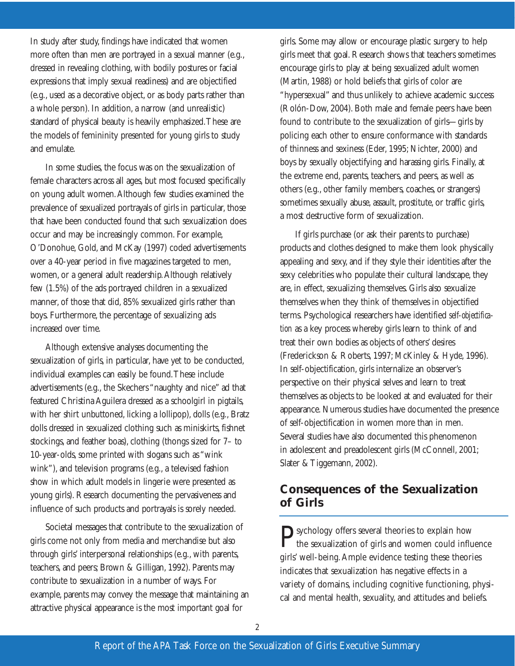In study after study, findings have indicated that women more often than men are portrayed in a sexual manner (e.g., dressed in revealing clothing, with bodily postures or facial expressions that imply sexual readiness) and are objectified (e.g., used as a decorative object, or as body parts rather than a whole person). In addition, a narrow (and unrealistic) standard of physical beauty is heavily emphasized.These are the models of femininity presented for young girls to study and emulate.

In some studies, the focus was on the sexualization of female characters across all ages, but most focused specifically on young adult women.Although few studies examined the prevalence of sexualized portrayals of girls in particular, those that have been conducted found that such sexualization does occur and may be increasingly common. For example, O'Donohue, Gold, and McKay (1997) coded advertisements over a 40-year period in five magazines targeted to men, women, or a general adult readership.Although relatively few (1.5%) of the ads portrayed children in a sexualized manner, of those that did, 85% sexualized girls rather than boys. Furthermore, the percentage of sexualizing ads increased over time.

Although extensive analyses documenting the sexualization of girls, in particular, have yet to be conducted, individual examples can easily be found.These include advertisements (e.g., the Skechers "naughty and nice" ad that featured Christina Aguilera dressed as a schoolgirl in pigtails, with her shirt unbuttoned, licking a lollipop), dolls (e.g., Bratz dolls dressed in sexualized clothing such as miniskirts, fishnet stockings, and feather boas), clothing (thongs sized for 7– to 10-year-olds, some printed with slogans such as "wink wink"), and television programs (e.g., a televised fashion show in which adult models in lingerie were presented as young girls). Research documenting the pervasiveness and influence of such products and portrayals is sorely needed.

Societal messages that contribute to the sexualization of girls come not only from media and merchandise but also through girls' interpersonal relationships (e.g., with parents, teachers, and peers; Brown & Gilligan, 1992). Parents may contribute to sexualization in a number of ways. For example, parents may convey the message that maintaining an attractive physical appearance is the most important goal for

girls. Some may allow or encourage plastic surgery to help girls meet that goal. Research shows that teachers sometimes encourage girls to play at being sexualized adult women (Martin, 1988) or hold beliefs that girls of color are "hypersexual" and thus unlikely to achieve academic success (Rolón-Dow, 2004). Both male and female peers have been found to contribute to the sexualization of girls—girls by policing each other to ensure conformance with standards of thinness and sexiness (Eder, 1995; Nichter, 2000) and boys by sexually objectifying and harassing girls. Finally, at the extreme end, parents, teachers, and peers, as well as others (e.g., other family members, coaches, or strangers) sometimes sexually abuse, assault, prostitute, or traffic girls, a most destructive form of sexualization.

If girls purchase (or ask their parents to purchase) products and clothes designed to make them look physically appealing and sexy, and if they style their identities after the sexy celebrities who populate their cultural landscape, they are, in effect, sexualizing themselves. Girls also sexualize themselves when they think of themselves in objectified terms. Psychological researchers have identified *self-objectification* as a key process whereby girls learn to think of and treat their own bodies as objects of others' desires (Frederickson & Roberts, 1997; McKinley & Hyde, 1996). In self-objectification, girls internalize an observer's perspective on their physical selves and learn to treat themselves as objects to be looked at and evaluated for their appearance. Numerous studies have documented the presence of self-objectification in women more than in men. Several studies have also documented this phenomenon in adolescent and preadolescent girls (McConnell, 2001; Slater & Tiggemann, 2002).

## **Consequences of the Sexualization of Girls**

**P**sychology offers several theories to explain how the sexualization of girls and women could influence girls' well-being.Ample evidence testing these theories indicates that sexualization has negative effects in a variety of domains, including cognitive functioning, physical and mental health, sexuality, and attitudes and beliefs.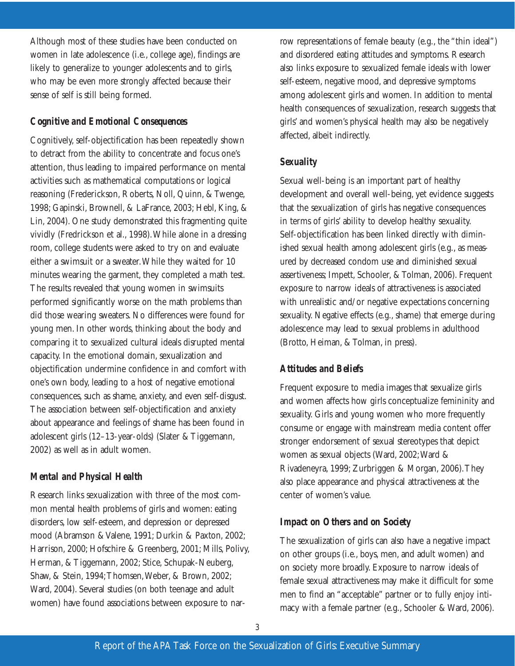Although most of these studies have been conducted on women in late adolescence (i.e., college age), findings are likely to generalize to younger adolescents and to girls, who may be even more strongly affected because their sense of self is still being formed.

#### *Cognitive and Emotional Consequences*

Cognitively, self-objectification has been repeatedly shown to detract from the ability to concentrate and focus one's attention, thus leading to impaired performance on mental activities such as mathematical computations or logical reasoning (Frederickson, Roberts, Noll, Quinn, & Twenge, 1998; Gapinski, Brownell, & LaFrance, 2003; Hebl, King, & Lin, 2004). One study demonstrated this fragmenting quite vividly (Fredrickson et al., 1998).While alone in a dressing room, college students were asked to try on and evaluate either a swimsuit or a sweater.While they waited for 10 minutes wearing the garment, they completed a math test. The results revealed that young women in swimsuits performed significantly worse on the math problems than did those wearing sweaters. No differences were found for young men. In other words, thinking about the body and comparing it to sexualized cultural ideals disrupted mental capacity. In the emotional domain, sexualization and objectification undermine confidence in and comfort with one's own body, leading to a host of negative emotional consequences, such as shame, anxiety, and even self-disgust. The association between self-objectification and anxiety about appearance and feelings of shame has been found in adolescent girls (12–13-year-olds) (Slater & Tiggemann, 2002) as well as in adult women.

#### *Mental and Physical Health*

Research links sexualization with three of the most common mental health problems of girls and women: eating disorders, low self-esteem, and depression or depressed mood (Abramson & Valene, 1991; Durkin & Paxton, 2002; Harrison, 2000; Hofschire & Greenberg, 2001; Mills, Polivy, Herman, & Tiggemann, 2002; Stice, Schupak-Neuberg, Shaw, & Stein, 1994; Thomsen, Weber, & Brown, 2002; Ward, 2004). Several studies (on both teenage and adult women) have found associations between exposure to narrow representations of female beauty (e.g., the "thin ideal") and disordered eating attitudes and symptoms. Research also links exposure to sexualized female ideals with lower self-esteem, negative mood, and depressive symptoms among adolescent girls and women. In addition to mental health consequences of sexualization, research suggests that girls' and women's physical health may also be negatively affected, albeit indirectly.

#### *Sexuality*

Sexual well-being is an important part of healthy development and overall well-being, yet evidence suggests that the sexualization of girls has negative consequences in terms of girls' ability to develop healthy sexuality. Self-objectification has been linked directly with diminished sexual health among adolescent girls (e.g., as measured by decreased condom use and diminished sexual assertiveness; Impett, Schooler, & Tolman, 2006). Frequent exposure to narrow ideals of attractiveness is associated with unrealistic and/or negative expectations concerning sexuality. Negative effects (e.g., shame) that emerge during adolescence may lead to sexual problems in adulthood (Brotto, Heiman, & Tolman, in press).

#### *Attitudes and Beliefs*

Frequent exposure to media images that sexualize girls and women affects how girls conceptualize femininity and sexuality. Girls and young women who more frequently consume or engage with mainstream media content offer stronger endorsement of sexual stereotypes that depict women as sexual objects (Ward, 2002;Ward & Rivadeneyra, 1999; Zurbriggen & Morgan, 2006).They also place appearance and physical attractiveness at the center of women's value.

#### *Impact on Others and on Society*

The sexualization of girls can also have a negative impact on other groups (i.e., boys, men, and adult women) and on society more broadly. Exposure to narrow ideals of female sexual attractiveness may make it difficult for some men to find an "acceptable" partner or to fully enjoy intimacy with a female partner (e.g., Schooler & Ward, 2006).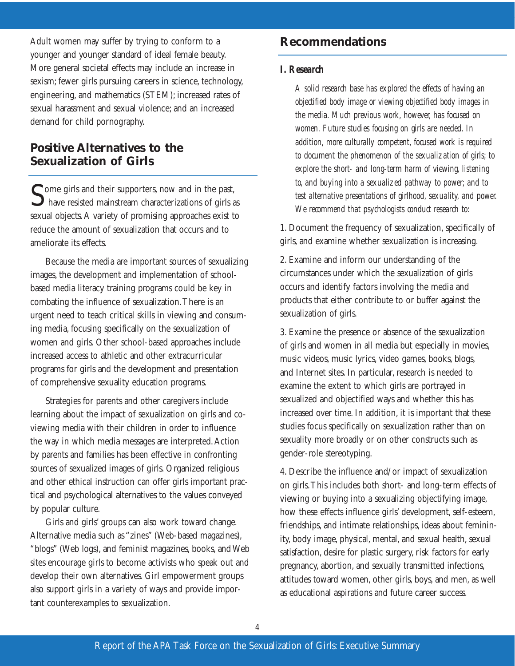Adult women may suffer by trying to conform to a younger and younger standard of ideal female beauty. More general societal effects may include an increase in sexism; fewer girls pursuing careers in science, technology, engineering, and mathematics (STEM); increased rates of sexual harassment and sexual violence; and an increased demand for child pornography.

## **Positive Alternatives to the Sexualization of Girls**

Some girls and their supporters, now and in the past,<br>have resisted mainstream characterizations of girls as sexual objects.A variety of promising approaches exist to reduce the amount of sexualization that occurs and to ameliorate its effects.

Because the media are important sources of sexualizing images, the development and implementation of schoolbased media literacy training programs could be key in combating the influence of sexualization.There is an urgent need to teach critical skills in viewing and consuming media, focusing specifically on the sexualization of women and girls. Other school-based approaches include increased access to athletic and other extracurricular programs for girls and the development and presentation of comprehensive sexuality education programs.

Strategies for parents and other caregivers include learning about the impact of sexualization on girls and coviewing media with their children in order to influence the way in which media messages are interpreted.Action by parents and families has been effective in confronting sources of sexualized images of girls. Organized religious and other ethical instruction can offer girls important practical and psychological alternatives to the values conveyed by popular culture.

Girls and girls' groups can also work toward change. Alternative media such as "zines" (Web-based magazines), "blogs" (Web logs), and feminist magazines, books, and Web sites encourage girls to become activists who speak out and develop their own alternatives. Girl empowerment groups also support girls in a variety of ways and provide important counterexamples to sexualization.

## **Recommendations**

#### *I. Research*

*A solid research base has explored the effects of having an objectified body image or viewing objectified body images in the media. Much previous work, however, has focused on women. Future studies focusing on girls are needed. In addition, more culturally competent, focused work is required to document the phenomenon of the sexualization of girls; to explore the short- and long-term harm of viewing, listening to, and buying into a sexualized pathway to power; and to test alternative presentations of girlhood, sexuality, and power. We recommend that psychologists conduct research to:*

1. Document the frequency of sexualization, specifically of girls, and examine whether sexualization is increasing.

2. Examine and inform our understanding of the circumstances under which the sexualization of girls occurs and identify factors involving the media and products that either contribute to or buffer against the sexualization of girls.

3. Examine the presence or absence of the sexualization of girls and women in all media but especially in movies, music videos, music lyrics, video games, books, blogs, and Internet sites. In particular, research is needed to examine the extent to which girls are portrayed in sexualized and objectified ways and whether this has increased over time. In addition, it is important that these studies focus specifically on sexualization rather than on sexuality more broadly or on other constructs such as gender-role stereotyping.

4. Describe the influence and/or impact of sexualization on girls.This includes both short- and long-term effects of viewing or buying into a sexualizing objectifying image, how these effects influence girls' development, self-esteem, friendships, and intimate relationships, ideas about femininity, body image, physical, mental, and sexual health, sexual satisfaction, desire for plastic surgery, risk factors for early pregnancy, abortion, and sexually transmitted infections, attitudes toward women, other girls, boys, and men, as well as educational aspirations and future career success.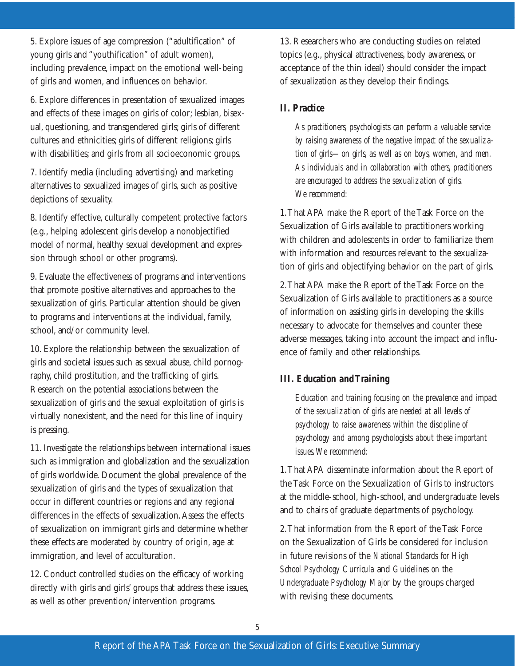5. Explore issues of age compression ("adultification" of young girls and "youthification" of adult women), including prevalence, impact on the emotional well-being of girls and women, and influences on behavior.

6. Explore differences in presentation of sexualized images and effects of these images on girls of color; lesbian, bisexual, questioning, and transgendered girls; girls of different cultures and ethnicities; girls of different religions; girls with disabilities; and girls from all socioeconomic groups.

7. Identify media (including advertising) and marketing alternatives to sexualized images of girls, such as positive depictions of sexuality.

8. Identify effective, culturally competent protective factors (e.g., helping adolescent girls develop a nonobjectified model of normal, healthy sexual development and expression through school or other programs).

9. Evaluate the effectiveness of programs and interventions that promote positive alternatives and approaches to the sexualization of girls. Particular attention should be given to programs and interventions at the individual, family, school, and/or community level.

10. Explore the relationship between the sexualization of girls and societal issues such as sexual abuse, child pornography, child prostitution, and the trafficking of girls. Research on the potential associations between the sexualization of girls and the sexual exploitation of girls is virtually nonexistent, and the need for this line of inquiry is pressing.

11. Investigate the relationships between international issues such as immigration and globalization and the sexualization of girls worldwide. Document the global prevalence of the sexualization of girls and the types of sexualization that occur in different countries or regions and any regional differences in the effects of sexualization.Assess the effects of sexualization on immigrant girls and determine whether these effects are moderated by country of origin, age at immigration, and level of acculturation.

12. Conduct controlled studies on the efficacy of working directly with girls and girls' groups that address these issues, as well as other prevention/intervention programs.

13. Researchers who are conducting studies on related topics (e.g., physical attractiveness, body awareness, or acceptance of the thin ideal) should consider the impact of sexualization as they develop their findings.

### *II. Practice*

*As practitioners, psychologists can perform a valuable service by raising awareness of the negative impact of the sexualization of girls—on girls, as well as on boys, women, and men. As individuals and in collaboration with others, practitioners are encouraged to address the sexualization of girls. We recommend:*

1.That APA make the Report of the Task Force on the Sexualization of Girls available to practitioners working with children and adolescents in order to familiarize them with information and resources relevant to the sexualization of girls and objectifying behavior on the part of girls.

2.That APA make the Report of the Task Force on the Sexualization of Girls available to practitioners as a source of information on assisting girls in developing the skills necessary to advocate for themselves and counter these adverse messages, taking into account the impact and influence of family and other relationships.

### *III. Education and Training*

*Education and training focusing on the prevalence and impact of the sexualization of girls are needed at all levels of psychology to raise awareness within the discipline of psychology and among psychologists about these important issues.We recommend:*

1.That APA disseminate information about the Report of the Task Force on the Sexualization of Girls to instructors at the middle-school, high-school, and undergraduate levels and to chairs of graduate departments of psychology.

2.That information from the Report of the Task Force on the Sexualization of Girls be considered for inclusion in future revisions of the *National Standards for High School Psychology Curricula* and *Guidelines on the Undergraduate Psychology Major* by the groups charged with revising these documents.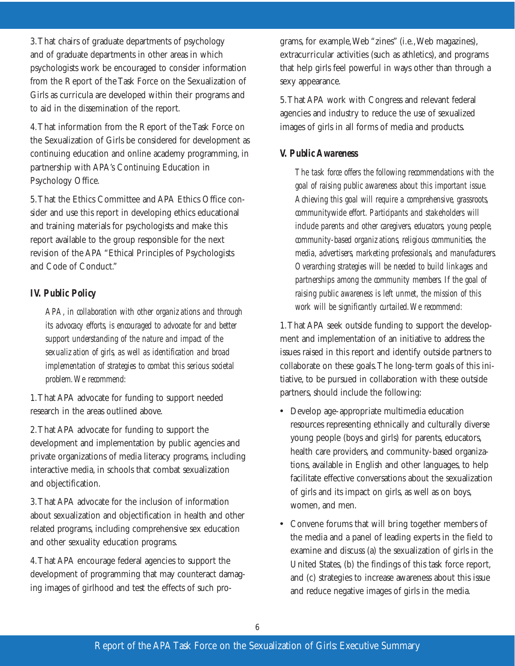3.That chairs of graduate departments of psychology and of graduate departments in other areas in which psychologists work be encouraged to consider information from the Report of the Task Force on the Sexualization of Girls as curricula are developed within their programs and to aid in the dissemination of the report.

4.That information from the Report of the Task Force on the Sexualization of Girls be considered for development as continuing education and online academy programming, in partnership with APA's Continuing Education in Psychology Office.

5.That the Ethics Committee and APA Ethics Office consider and use this report in developing ethics educational and training materials for psychologists and make this report available to the group responsible for the next revision of the APA "Ethical Principles of Psychologists and Code of Conduct."

#### *IV. Public Policy*

*APA, in collaboration with other organizations and through its advocacy efforts, is encouraged to advocate for and better support understanding of the nature and impact of the sexualization of girls, as well as identification and broad implementation of strategies to combat this serious societal problem.We recommend:*

1.That APA advocate for funding to support needed research in the areas outlined above.

2.That APA advocate for funding to support the development and implementation by public agencies and private organizations of media literacy programs, including interactive media, in schools that combat sexualization and objectification.

3.That APA advocate for the inclusion of information about sexualization and objectification in health and other related programs, including comprehensive sex education and other sexuality education programs.

4.That APA encourage federal agencies to support the development of programming that may counteract damaging images of girlhood and test the effects of such programs, for example,Web "zines" (i.e.,Web magazines), extracurricular activities (such as athletics), and programs that help girls feel powerful in ways other than through a sexy appearance.

5.That APA work with Congress and relevant federal agencies and industry to reduce the use of sexualized images of girls in all forms of media and products.

#### *V. Public Awareness*

*The task force offers the following recommendations with the goal of raising public awareness about this important issue. Achieving this goal will require a comprehensive, grassroots, communitywide effort. Participants and stakeholders will include parents and other caregivers, educators, young people, community-based organizations, religious communities, the media, advertisers, marketing professionals, and manufacturers. Overarching strategies will be needed to build linkages and partnerships among the community members. If the goal of raising public awareness is left unmet, the mission of this work will be significantly curtailed.We recommend:*

1.That APA seek outside funding to support the development and implementation of an initiative to address the issues raised in this report and identify outside partners to collaborate on these goals.The long-term goals of this initiative, to be pursued in collaboration with these outside partners, should include the following:

- Develop age-appropriate multimedia education resources representing ethnically and culturally diverse young people (boys and girls) for parents, educators, health care providers, and community-based organizations, available in English and other languages, to help facilitate effective conversations about the sexualization of girls and its impact on girls, as well as on boys, women, and men.
- Convene forums that will bring together members of the media and a panel of leading experts in the field to examine and discuss (a) the sexualization of girls in the United States, (b) the findings of this task force report, and (c) strategies to increase awareness about this issue and reduce negative images of girls in the media.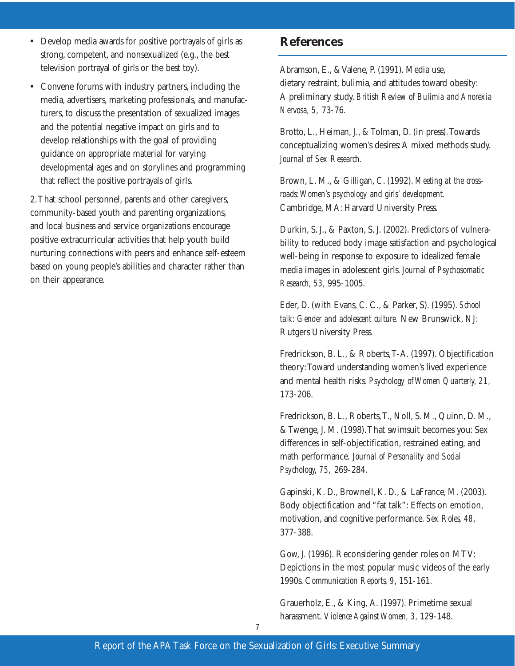- Develop media awards for positive portrayals of girls as strong, competent, and nonsexualized (e.g., the best television portrayal of girls or the best toy).
- Convene forums with industry partners, including the media, advertisers, marketing professionals, and manufacturers, to discuss the presentation of sexualized images and the potential negative impact on girls and to develop relationships with the goal of providing guidance on appropriate material for varying developmental ages and on storylines and programming that reflect the positive portrayals of girls.

2.That school personnel, parents and other caregivers, community-based youth and parenting organizations, and local business and service organizations encourage positive extracurricular activities that help youth build nurturing connections with peers and enhance self-esteem based on young people's abilities and character rather than on their appearance.

### **References**

Abramson, E., & Valene, P. (1991). Media use, dietary restraint, bulimia, and attitudes toward obesity: A preliminary study. *British Review of Bulimia and Anorexia Nervosa, 5,* 73-76.

Brotto, L., Heiman, J., & Tolman, D. (in press).Towards conceptualizing women's desires:A mixed methods study. *Journal of Sex Research.*

Brown, L. M., & Gilligan, C. (1992). *Meeting at the crossroads:Women's psychology and girls' development.* Cambridge, MA: Harvard University Press.

Durkin, S. J., & Paxton, S. J. (2002). Predictors of vulnerability to reduced body image satisfaction and psychological well-being in response to exposure to idealized female media images in adolescent girls. *Journal of Psychosomatic Research, 53,* 995-1005.

Eder, D. (with Evans, C. C., & Parker, S). (1995). *School talk: Gender and adolescent culture.* New Brunswick, NJ: Rutgers University Press.

Fredrickson, B. L., & Roberts,T-A. (1997). Objectification theory:Toward understanding women's lived experience and mental health risks. *Psychology of Women Quarterly, 21,* 173-206.

Fredrickson, B. L., Roberts,T., Noll, S. M., Quinn, D. M., & Twenge, J. M. (1998).That swimsuit becomes you: Sex differences in self-objectification, restrained eating, and math performance. *Journal of Personality and Social Psychology, 75,* 269-284.

Gapinski, K. D., Brownell, K. D., & LaFrance, M. (2003). Body objectification and "fat talk": Effects on emotion, motivation, and cognitive performance. *Sex Roles, 48,* 377-388.

Gow, J. (1996). Reconsidering gender roles on MTV: Depictions in the most popular music videos of the early 1990s. C*ommunication Reports, 9,* 151-161.

Grauerholz, E., & King, A. (1997). Primetime sexual harassment. *Violence Against Women, 3,* 129-148.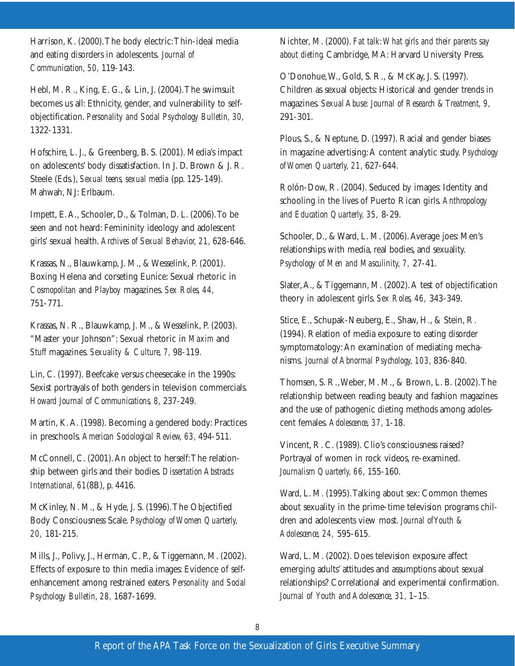Harrison, K. (2000).The body electric:Thin-ideal media and eating disorders in adolescents. *Journal of Communication, 50,* 119-143.

Hebl, M. R., King, E. G., & Lin, J. (2004).The swimsuit becomes us all: Ethnicity, gender, and vulnerability to selfobjectification. *Personality and Social Psychology Bulletin, 30,* 1322-1331.

Hofschire, L. J., & Greenberg, B. S. (2001). Media's impact on adolescents' body dissatisfaction. In J. D. Brown & J. R. Steele (Eds.), *Sexual teens, sexual media* (pp. 125-149). Mahwah, NJ: Erlbaum.

Impett, E.A., Schooler, D., & Tolman, D. L. (2006).To be seen and not heard: Femininity ideology and adolescent girls' sexual health. *Archives of Sexual Behavior, 21,* 628-646.

Krassas, N., Blauwkamp, J. M., & Wesselink, P. (2001). Boxing Helena and corseting Eunice: Sexual rhetoric in *Cosmopolitan* and *Playboy* magazines. *Sex Roles, 44,* 751-771.

Krassas, N. R., Blauwkamp, J. M., & Wesselink, P. (2003). "Master your Johnson": Sexual rhetoric in *Maxim* and *Stuff* magazines. *Sexuality & Culture, 7,* 98-119.

Lin, C. (1997). Beefcake versus cheesecake in the 1990s: Sexist portrayals of both genders in television commercials. *Howard Journal of Communications, 8,* 237-249.

Martin, K.A. (1998). Becoming a gendered body: Practices in preschools. *American Sociological Review, 63,* 494-511.

McConnell, C. (2001).An object to herself:The relationship between girls and their bodies. *Dissertation Abstracts International, 61*(8B), p. 4416.

McKinley, N. M., & Hyde, J. S. (1996).The Objectified Body Consciousness Scale. *Psychology of Women Quarterly, 20,* 181-215.

Mills, J., Polivy, J., Herman, C. P., & Tiggemann, M. (2002). Effects of exposure to thin media images: Evidence of selfenhancement among restrained eaters. *Personality and Social Psychology Bulletin, 28,* 1687-1699.

Nichter, M. (2000). *Fat talk:What girls and their parents say about dieting.* Cambridge, MA: Harvard University Press.

O'Donohue,W., Gold, S. R., & McKay, J. S. (1997). Children as sexual objects: Historical and gender trends in magazines. *Sexual Abuse: Journal of Research & Treatment, 9,* 291-301.

Plous, S., & Neptune, D. (1997). Racial and gender biases in magazine advertising:A content analytic study. *Psychology of Women Quarterly, 21,* 627-644.

Rolón-Dow, R. (2004). Seduced by images: Identity and schooling in the lives of Puerto Rican girls. *Anthropology and Education Quarterly, 35,* 8-29.

Schooler, D., & Ward, L. M. (2006).Average joes: Men's relationships with media, real bodies, and sexuality. *Psychology of Men and Masculinity, 7,* 27-41.

Slater, A., & Tiggemann, M. (2002). A test of objectification theory in adolescent girls. *Sex Roles, 46,* 343-349.

Stice, E., Schupak-Neuberg, E., Shaw, H., & Stein, R. (1994). Relation of media exposure to eating disorder symptomatology:An examination of mediating mechanisms. *Journal of Abnormal Psychology, 103,* 836-840.

Thomsen, S. R.,Weber, M. M., & Brown, L. B. (2002).The relationship between reading beauty and fashion magazines and the use of pathogenic dieting methods among adolescent females. *Adolescence, 37,* 1-18.

Vincent, R. C. (1989). Clio's consciousness raised? Portrayal of women in rock videos, re-examined. *Journalism Quarterly, 66,* 155-160.

Ward, L. M. (1995).Talking about sex: Common themes about sexuality in the prime-time television programs children and adolescents view most. *Journal of Youth & Adolescence, 24,* 595-615.

Ward, L. M. (2002). Does television exposure affect emerging adults' attitudes and assumptions about sexual relationships? Correlational and experimental confirmation. *Journal of Youth and Adolescence, 31,* 1–15.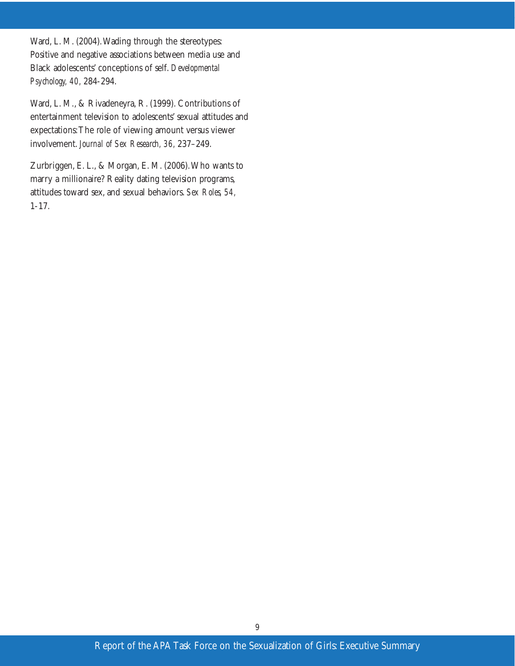Ward, L. M. (2004).Wading through the stereotypes: Positive and negative associations between media use and Black adolescents' conceptions of self. *Developmental Psychology, 40,* 284-294.

Ward, L. M., & Rivadeneyra, R. (1999). Contributions of entertainment television to adolescents' sexual attitudes and expectations:The role of viewing amount versus viewer involvement. *Journal of Sex Research, 36,* 237–249.

Zurbriggen, E. L., & Morgan, E. M. (2006).Who wants to marry a millionaire? Reality dating television programs, attitudes toward sex, and sexual behaviors. *Sex Roles, 54,* 1-17.